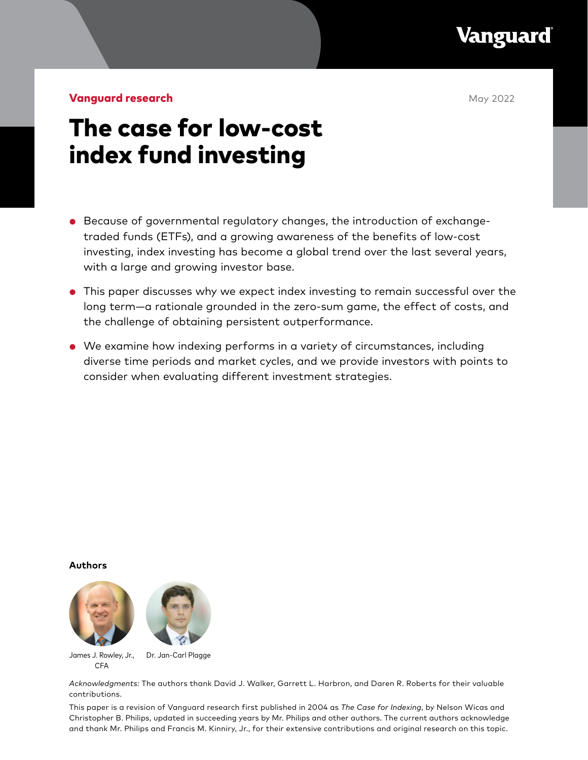

**Vanguard research May 2022** 

# The case for low-cost index fund investing

- Because of governmental regulatory changes, the introduction of exchangetraded funds (ETFs), and a growing awareness of the benefits of low-cost investing, index investing has become a global trend over the last several years, with a large and growing investor base.
- This paper discusses why we expect index investing to remain successful over the long term—a rationale grounded in the zero-sum game, the effect of costs, and the challenge of obtaining persistent outperformance.
- We examine how indexing performs in a variety of circumstances, including diverse time periods and market cycles, and we provide investors with points to consider when evaluating different investment strategies.

**Authors**



James J. Rowley, Jr., CFA Dr. Jan-Carl Plagge

*Acknowledgments:* The authors thank David J. Walker, Garrett L. Harbron, and Daren R. Roberts for their valuable contributions.

This paper is a revision of Vanguard research first published in 2004 as *The Case for Indexing*, by Nelson Wicas and Christopher B. Philips, updated in succeeding years by Mr. Philips and other authors. The current authors acknowledge and thank Mr. Philips and Francis M. Kinniry, Jr., for their extensive contributions and original research on this topic.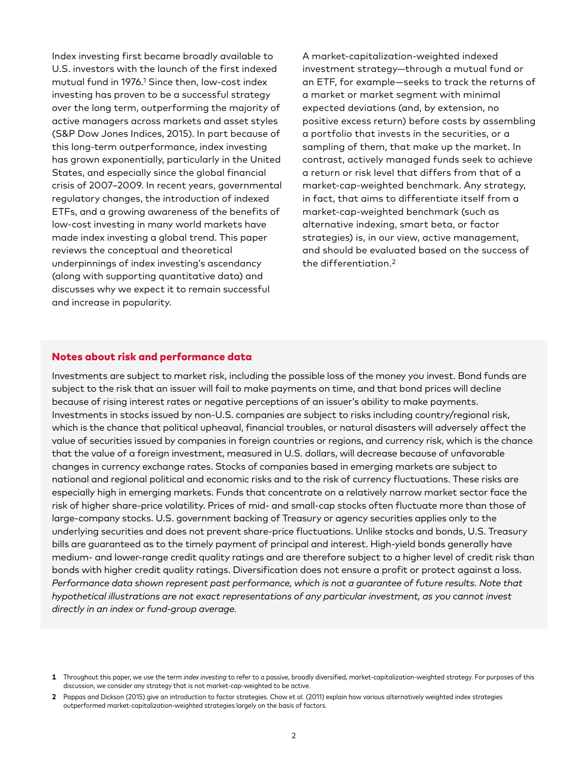Index investing first became broadly available to U.S. investors with the launch of the first indexed mutual fund in 1976.1 Since then, low-cost index investing has proven to be a successful strategy over the long term, outperforming the majority of active managers across markets and asset styles (S&P Dow Jones Indices, 2015). In part because of this long-term outperformance, index investing has grown exponentially, particularly in the United States, and especially since the global financial crisis of 2007-2009. In recent years, governmental regulatory changes, the introduction of indexed ETFs, and a growing awareness of the benefits of low-cost investing in many world markets have made index investing a global trend. This paper reviews the conceptual and theoretical underpinnings of index investing's ascendancy (along with supporting quantitative data) and discusses why we expect it to remain successful and increase in popularity.

A market-capitalization-weighted indexed investment strategy—through a mutual fund or an ETF, for example—seeks to track the returns of a market or market segment with minimal expected deviations (and, by extension, no positive excess return) before costs by assembling a portfolio that invests in the securities, or a sampling of them, that make up the market. In contrast, actively managed funds seek to achieve a return or risk level that differs from that of a market-cap-weighted benchmark. Any strategy, in fact, that aims to differentiate itself from a market-cap-weighted benchmark (such as alternative indexing, smart beta, or factor strategies) is, in our view, active management, and should be evaluated based on the success of the differentiation.2

## Notes about risk and performance data

Investments are subject to market risk, including the possible loss of the money you invest. Bond funds are subject to the risk that an issuer will fail to make payments on time, and that bond prices will decline because of rising interest rates or negative perceptions of an issuer's ability to make payments. Investments in stocks issued by non-U.S. companies are subject to risks including country/regional risk, which is the chance that political upheaval, financial troubles, or natural disasters will adversely affect the value of securities issued by companies in foreign countries or regions, and currency risk, which is the chance that the value of a foreign investment, measured in U.S. dollars, will decrease because of unfavorable changes in currency exchange rates. Stocks of companies based in emerging markets are subject to national and regional political and economic risks and to the risk of currency fluctuations. These risks are especially high in emerging markets. Funds that concentrate on a relatively narrow market sector face the risk of higher share-price volatility. Prices of mid- and small-cap stocks often fluctuate more than those of large-company stocks. U.S. government backing of Treasury or agency securities applies only to the underlying securities and does not prevent share-price fluctuations. Unlike stocks and bonds, U.S. Treasury bills are guaranteed as to the timely payment of principal and interest. High-yield bonds generally have medium- and lower-range credit quality ratings and are therefore subject to a higher level of credit risk than bonds with higher credit quality ratings. Diversification does not ensure a profit or protect against a loss. *Performance data shown represent past performance, which is not a guarantee of future results. Note that hypothetical illustrations are not exact representations of any particular investment, as you cannot invest directly in an index or fund-group average.*

**<sup>1</sup>** Throughout this paper, we use the term *index investing* to refer to a passive, broadly diversified, market-capitalization-weighted strategy. For purposes of this discussion, we consider any strategy that is not market-cap-weighted to be active.

**<sup>2</sup>** Pappas and Dickson (2015) give an introduction to factor strategies. Chow et al. (2011) explain how various alternatively weighted index strategies outperformed market-capitalization-weighted strategies largely on the basis of factors.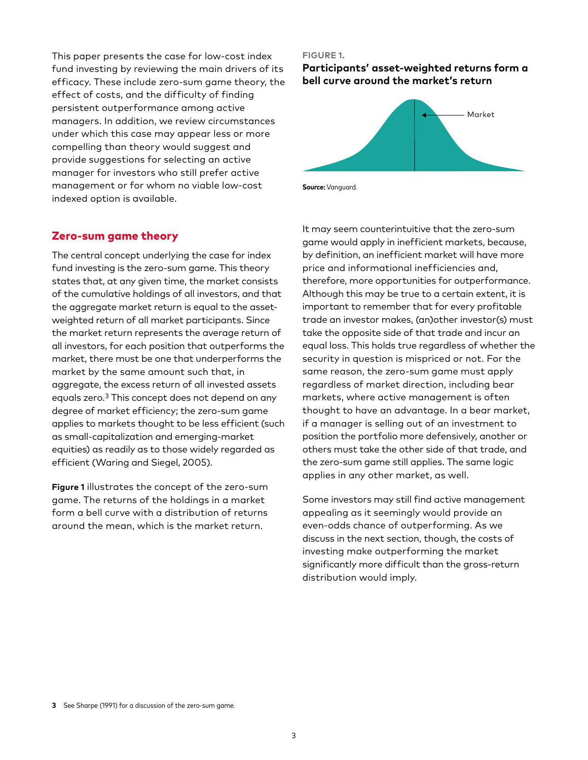This paper presents the case for low-cost index fund investing by reviewing the main drivers of its efficacy. These include zero-sum game theory, the effect of costs, and the difficulty of finding persistent outperformance among active managers. In addition, we review circumstances under which this case may appear less or more compelling than theory would suggest and provide suggestions for selecting an active manager for investors who still prefer active management or for whom no viable low-cost indexed option is available.

## Zero-sum game theory

The central concept underlying the case for index fund investing is the zero-sum game. This theory states that, at any given time, the market consists of the cumulative holdings of all investors, and that the aggregate market return is equal to the assetweighted return of all market participants. Since the market return represents the average return of all investors, for each position that outperforms the market, there must be one that underperforms the market by the same amount such that, in aggregate, the excess return of all invested assets equals zero.3 This concept does not depend on any degree of market efficiency; the zero-sum game applies to markets thought to be less efficient (such as small-capitalization and emerging-market equities) as readily as to those widely regarded as efficient (Waring and Siegel, 2005).

**Figure 1** illustrates the concept of the zero-sum game. The returns of the holdings in a market form a bell curve with a distribution of returns around the mean, which is the market return.

#### **FIGURE 1.**

**Participants' asset-weighted returns form a bell curve around the market's return**



**Source:** Vanguard.

It may seem counterintuitive that the zero-sum game would apply in inefficient markets, because, by definition, an inefficient market will have more price and informational inefficiencies and, therefore, more opportunities for outperformance. Although this may be true to a certain extent, it is important to remember that for every profitable trade an investor makes, (an)other investor(s) must take the opposite side of that trade and incur an equal loss. This holds true regardless of whether the security in question is mispriced or not. For the same reason, the zero-sum game must apply regardless of market direction, including bear markets, where active management is often thought to have an advantage. In a bear market, if a manager is selling out of an investment to position the portfolio more defensively, another or others must take the other side of that trade, and the zero-sum game still applies. The same logic applies in any other market, as well.

Some investors may still find active management appealing as it seemingly would provide an even-odds chance of outperforming. As we discuss in the next section, though, the costs of investing make outperforming the market significantly more difficult than the gross-return distribution would imply.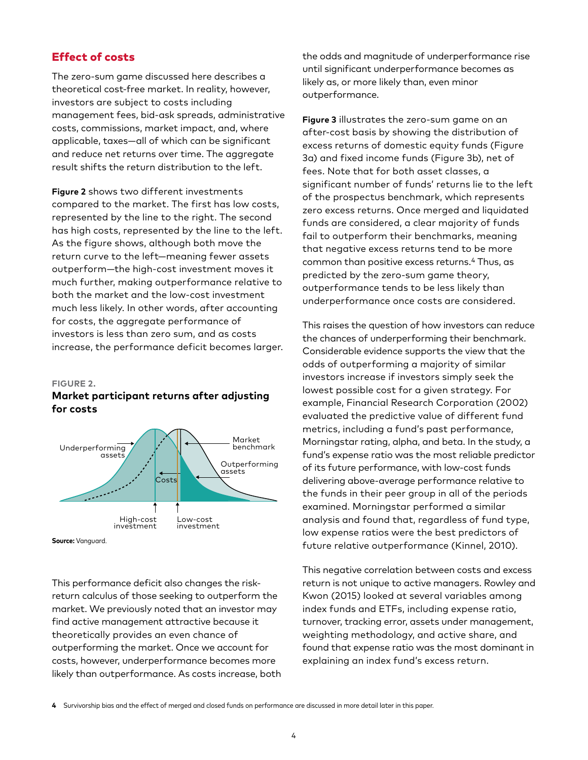## Effect of costs

The zero-sum game discussed here describes a theoretical cost-free market. In reality, however, investors are subject to costs including management fees, bid-ask spreads, administrative costs, commissions, market impact, and, where applicable, taxes—all of which can be significant and reduce net returns over time. The aggregate result shifts the return distribution to the left.

**Figure 2** shows two different investments compared to the market. The first has low costs, represented by the line to the right. The second has high costs, represented by the line to the left. As the figure shows, although both move the return curve to the left—meaning fewer assets outperform—the high-cost investment moves it much further, making outperformance relative to both the market and the low-cost investment much less likely. In other words, after accounting for costs, the aggregate performance of investors is less than zero sum, and as costs increase, the performance deficit becomes larger.

#### **FIGURE 2.**

## **Market participant returns after adjusting for costs**



**Source:** Vanguard.

This performance deficit also changes the riskreturn calculus of those seeking to outperform the market. We previously noted that an investor may find active management attractive because it theoretically provides an even chance of outperforming the market. Once we account for costs, however, underperformance becomes more likely than outperformance. As costs increase, both the odds and magnitude of underperformance rise until significant underperformance becomes as likely as, or more likely than, even minor outperformance.

**Figure 3** illustrates the zero-sum game on an after-cost basis by showing the distribution of excess returns of domestic equity funds (Figure 3a) and fixed income funds (Figure 3b), net of fees. Note that for both asset classes, a significant number of funds' returns lie to the left of the prospectus benchmark, which represents zero excess returns. Once merged and liquidated funds are considered, a clear majority of funds fail to outperform their benchmarks, meaning that negative excess returns tend to be more common than positive excess returns.4 Thus, as predicted by the zero-sum game theory, outperformance tends to be less likely than underperformance once costs are considered.

This raises the question of how investors can reduce the chances of underperforming their benchmark. Considerable evidence supports the view that the odds of outperforming a majority of similar investors increase if investors simply seek the lowest possible cost for a given strategy. For example, Financial Research Corporation (2002) evaluated the predictive value of different fund metrics, including a fund's past performance, Morningstar rating, alpha, and beta. In the study, a fund's expense ratio was the most reliable predictor of its future performance, with low-cost funds delivering above-average performance relative to the funds in their peer group in all of the periods examined. Morningstar performed a similar analysis and found that, regardless of fund type, low expense ratios were the best predictors of future relative outperformance (Kinnel, 2010).

This negative correlation between costs and excess return is not unique to active managers. Rowley and Kwon (2015) looked at several variables among index funds and ETFs, including expense ratio, turnover, tracking error, assets under management, weighting methodology, and active share, and found that expense ratio was the most dominant in explaining an index fund's excess return.

**<sup>4</sup>** Survivorship bias and the effect of merged and closed funds on performance are discussed in more detail later in this paper.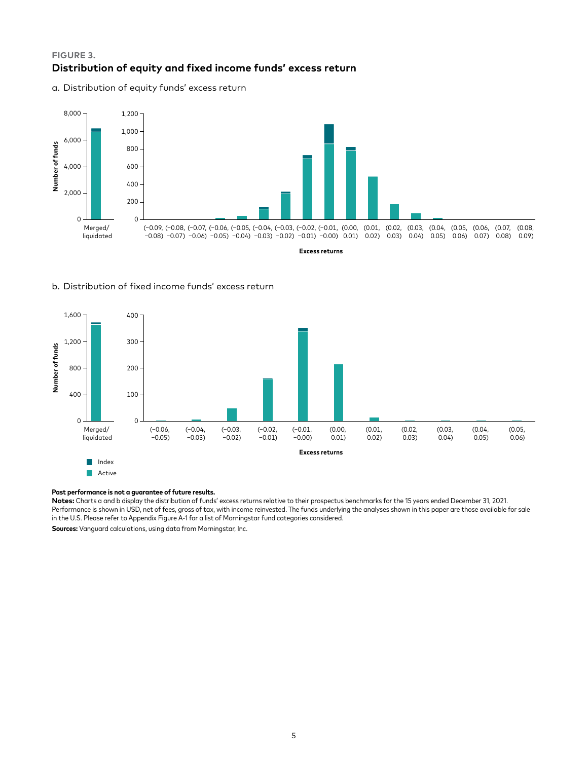## **FIGURE 3. Distribution of equity and fixed income funds' excess return**

a. Distribution of equity funds' excess return



#### b. Distribution of fixed income funds' excess return



**Active** 

#### **Past performance is not a guarantee of future results.**

**Notes:** Charts a and b display the distribution of funds' excess returns relative to their prospectus benchmarks for the 15 years ended December 31, 2021. Performance is shown in USD, net of fees, gross of tax, with income reinvested. The funds underlying the analyses shown in this paper are those available for sale in the U.S. Please refer to Appendix Figure A-1 for a list of Morningstar fund categories considered.

**Sources:** Vanguard calculations, using data from Morningstar, Inc.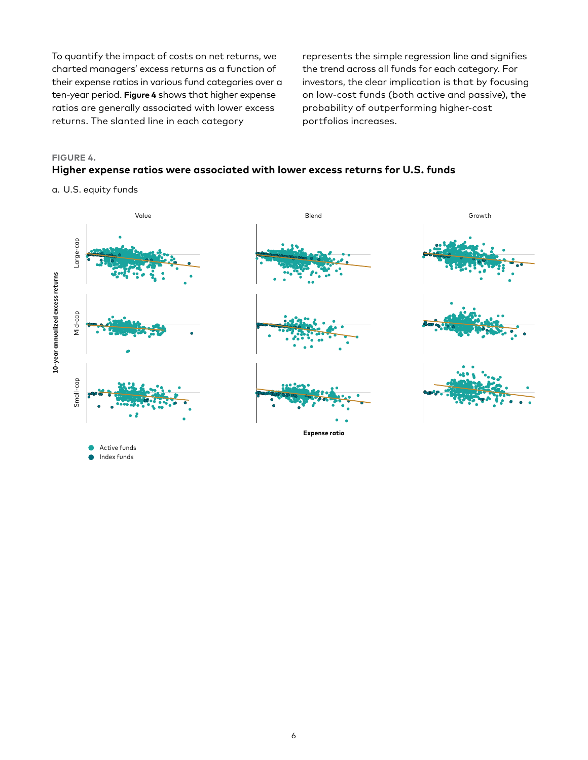To quantify the impact of costs on net returns, we charted managers' excess returns as a function of their expense ratios in various fund categories over a ten-year period. **Figure 4** shows that higher expense ratios are generally associated with lower excess returns. The slanted line in each category

represents the simple regression line and signifies the trend across all funds for each category. For investors, the clear implication is that by focusing on low-cost funds (both active and passive), the probability of outperforming higher-cost portfolios increases.

# **FIGURE 4. Higher expense ratios were associated with lower excess returns for U.S. funds**

a. U.S. equity funds

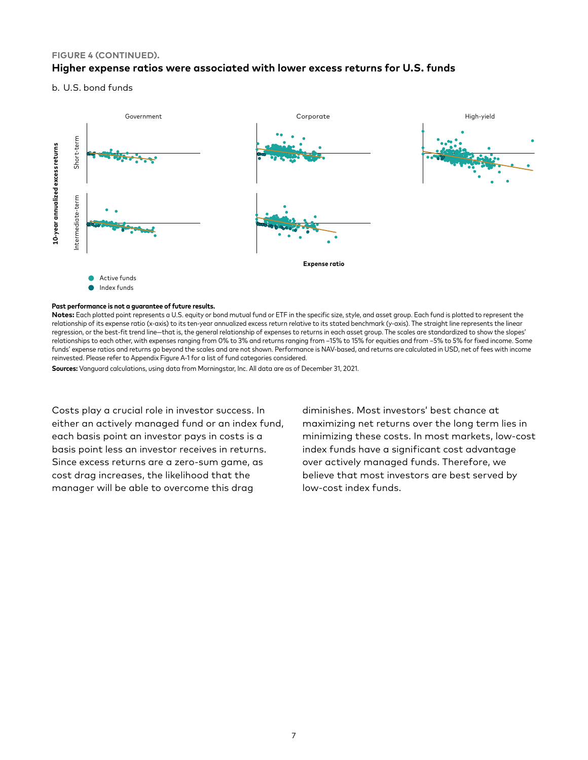## **FIGURE 4 (CONTINUED). Higher expense ratios were associated with lower excess returns for U.S. funds**

b. U.S. bond funds



#### **Past performance is not a guarantee of future results.**

**Notes:** Each plotted point represents a U.S. equity or bond mutual fund or ETF in the specific size, style, and asset group. Each fund is plotted to represent the relationship of its expense ratio (x-axis) to its ten-year annualized excess return relative to its stated benchmark (y-axis). The straight line represents the linear regression, or the best-fit trend line—that is, the general relationship of expenses to returns in each asset group. The scales are standardized to show the slopes' relationships to each other, with expenses ranging from 0% to 3% and returns ranging from –15% to 15% for equities and from –5% to 5% for fixed income. Some funds' expense ratios and returns go beyond the scales and are not shown. Performance is NAV-based, and returns are calculated in USD, net of fees with income reinvested. Please refer to Appendix Figure A-1 for a list of fund categories considered.

**Sources:** Vanguard calculations, using data from Morningstar, Inc. All data are as of December 31, 2021.

Costs play a crucial role in investor success. In either an actively managed fund or an index fund, each basis point an investor pays in costs is a basis point less an investor receives in returns. Since excess returns are a zero-sum game, as cost drag increases, the likelihood that the manager will be able to overcome this drag

diminishes. Most investors' best chance at maximizing net returns over the long term lies in minimizing these costs. In most markets, low-cost index funds have a significant cost advantage over actively managed funds. Therefore, we believe that most investors are best served by low-cost index funds.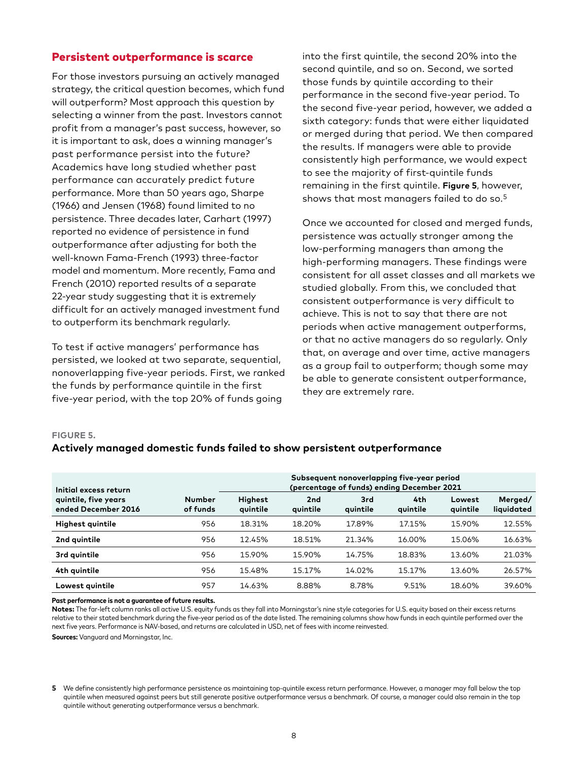## Persistent outperformance is scarce

For those investors pursuing an actively managed strategy, the critical question becomes, which fund will outperform? Most approach this question by selecting a winner from the past. Investors cannot profit from a manager's past success, however, so it is important to ask, does a winning manager's past performance persist into the future? Academics have long studied whether past performance can accurately predict future performance. More than 50 years ago, Sharpe (1966) and Jensen (1968) found limited to no persistence. Three decades later, Carhart (1997) reported no evidence of persistence in fund outperformance after adjusting for both the well-known Fama-French (1993) three-factor model and momentum. More recently, Fama and French (2010) reported results of a separate 22-year study suggesting that it is extremely difficult for an actively managed investment fund to outperform its benchmark regularly.

To test if active managers' performance has persisted, we looked at two separate, sequential, nonoverlapping five-year periods. First, we ranked the funds by performance quintile in the first five-year period, with the top 20% of funds going

into the first quintile, the second 20% into the second quintile, and so on. Second, we sorted those funds by quintile according to their performance in the second five-year period. To the second five-year period, however, we added a sixth category: funds that were either liquidated or merged during that period. We then compared the results. If managers were able to provide consistently high performance, we would expect to see the majority of first-quintile funds remaining in the first quintile. **Figure 5**, however, shows that most managers failed to do so.5

Once we accounted for closed and merged funds, persistence was actually stronger among the low-performing managers than among the high-performing managers. These findings were consistent for all asset classes and all markets we studied globally. From this, we concluded that consistent outperformance is very difficult to achieve. This is not to say that there are not periods when active management outperforms, or that no active managers do so regularly. Only that, on average and over time, active managers as a group fail to outperform; though some may be able to generate consistent outperformance, they are extremely rare.

#### **FIGURE 5.**

## **Actively managed domestic funds failed to show persistent outperformance**

| Initial excess return                       |                           | Subsequent nonoverlapping five-year period<br>(percentage of funds) ending December 2021 |                             |                 |                 |                    |                       |
|---------------------------------------------|---------------------------|------------------------------------------------------------------------------------------|-----------------------------|-----------------|-----------------|--------------------|-----------------------|
| quintile, five years<br>ended December 2016 | <b>Number</b><br>of funds | Highest<br>quintile                                                                      | 2 <sub>nd</sub><br>quintile | 3rd<br>quintile | 4th<br>quintile | Lowest<br>quintile | Merged/<br>liquidated |
| Highest quintile                            | 956                       | 18.31%                                                                                   | 18.20%                      | 17.89%          | 17.15%          | 15.90%             | 12.55%                |
| 2nd quintile                                | 956                       | 12.45%                                                                                   | 18.51%                      | 21.34%          | 16.00%          | 15.06%             | 16.63%                |
| 3rd quintile                                | 956                       | 15.90%                                                                                   | 15.90%                      | 14.75%          | 18.83%          | 13.60%             | 21.03%                |
| 4th quintile                                | 956                       | 15.48%                                                                                   | 15.17%                      | 14.02%          | 15.17%          | 13.60%             | 26.57%                |
| Lowest quintile                             | 957                       | 14.63%                                                                                   | 8.88%                       | 8.78%           | 9.51%           | 18.60%             | 39.60%                |

**Past performance is not a guarantee of future results.**

Notes: The far-left column ranks all active U.S. equity funds as they fall into Morningstar's nine style categories for U.S. equity based on their excess returns relative to their stated benchmark during the five-year period as of the date listed. The remaining columns show how funds in each quintile performed over the next five years. Performance is NAV-based, and returns are calculated in USD, net of fees with income reinvested.

**Sources:** Vanguard and Morningstar, Inc.

**<sup>5</sup>** We define consistently high performance persistence as maintaining top-quintile excess return performance. However, a manager may fall below the top quintile when measured against peers but still generate positive outperformance versus a benchmark. Of course, a manager could also remain in the top quintile without generating outperformance versus a benchmark.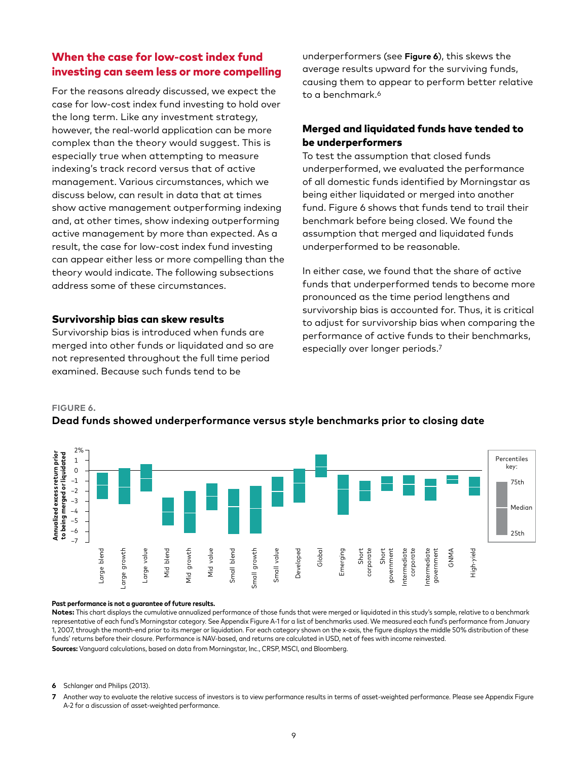# When the case for low-cost index fund investing can seem less or more compelling

For the reasons already discussed, we expect the case for low-cost index fund investing to hold over the long term. Like any investment strategy, however, the real-world application can be more complex than the theory would suggest. This is especially true when attempting to measure indexing's track record versus that of active management. Various circumstances, which we discuss below, can result in data that at times show active management outperforming indexing and, at other times, show indexing outperforming active management by more than expected. As a result, the case for low-cost index fund investing can appear either less or more compelling than the theory would indicate. The following subsections address some of these circumstances.

## Survivorship bias can skew results

Survivorship bias is introduced when funds are merged into other funds or liquidated and so are not represented throughout the full time period examined. Because such funds tend to be

underperformers (see **Figure 6**), this skews the average results upward for the surviving funds, causing them to appear to perform better relative to a benchmark.<sup>6</sup>

## Merged and liquidated funds have tended to be underperformers

To test the assumption that closed funds underperformed, we evaluated the performance of all domestic funds identified by Morningstar as being either liquidated or merged into another fund. Figure 6 shows that funds tend to trail their benchmark before being closed. We found the assumption that merged and liquidated funds underperformed to be reasonable.

In either case, we found that the share of active funds that underperformed tends to become more pronounced as the time period lengthens and survivorship bias is accounted for. Thus, it is critical to adjust for survivorship bias when comparing the performance of active funds to their benchmarks, especially over longer periods.<sup>7</sup>

#### **FIGURE 6.**

## **Dead funds showed underperformance versus style benchmarks prior to closing date**



#### **Past performance is not a guarantee of future results.**

**Notes:** This chart displays the cumulative annualized performance of those funds that were merged or liquidated in this study's sample, relative to a benchmark representative of each fund's Morningstar category. See Appendix Figure A-1 for a list of benchmarks used. We measured each fund's performance from January 1, 2007, through the month-end prior to its merger or liquidation. For each category shown on the x-axis, the figure displays the middle 50% distribution of these funds' returns before their closure. Performance is NAV-based, and returns are calculated in USD, net of fees with income reinvested. **Sources:** Vanguard calculations, based on data from Morningstar, Inc., CRSP, MSCI, and Bloomberg.

- **6** Schlanger and Philips (2013).
- **7** Another way to evaluate the relative success of investors is to view performance results in terms of asset-weighted performance. Please see Appendix Figure A-2 for a discussion of asset-weighted performance.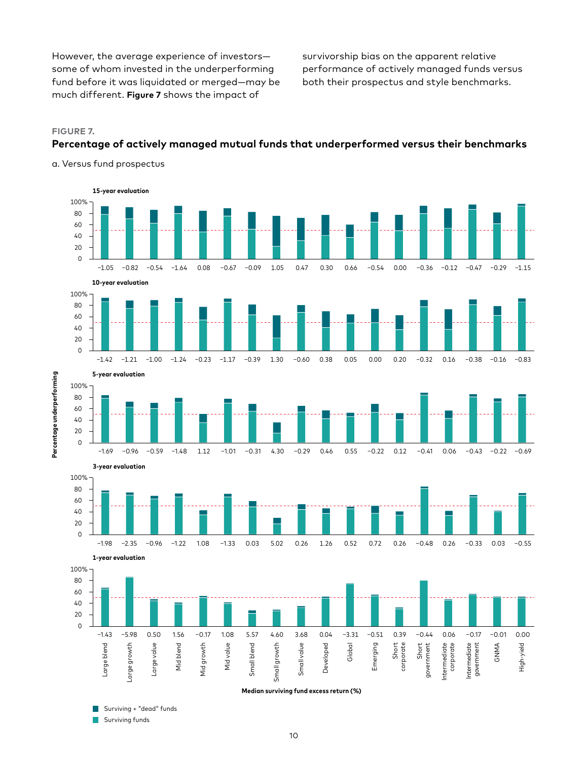However, the average experience of investors some of whom invested in the underperforming fund before it was liquidated or merged—may be much different. **Figure 7** shows the impact of

survivorship bias on the apparent relative performance of actively managed funds versus both their prospectus and style benchmarks.

#### **FIGURE 7.**

**Percentage underperforming**

Percentage underperforming

## **Percentage of actively managed mutual funds that underperformed versus their benchmarks**

a. Versus fund prospectus



Surviving + "dead" funds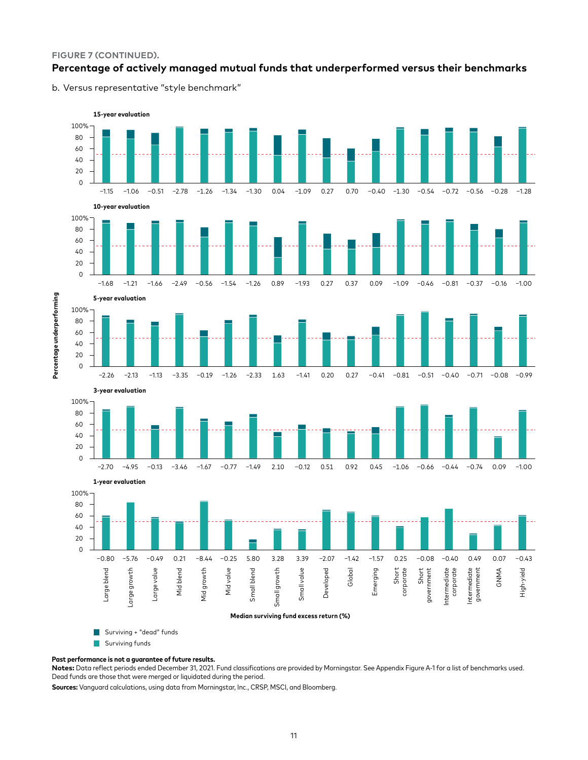#### **FIGURE 7 (CONTINUED).**

## **Percentage of actively managed mutual funds that underperformed versus their benchmarks**

b. Versus representative "style benchmark"



#### **Past performance is not a guarantee of future results.**

**Notes:** Data reflect periods ended December 31, 2021. Fund classifications are provided by Morningstar. See Appendix Figure A-1 for a list of benchmarks used. Dead funds are those that were merged or liquidated during the period.

**Sources:** Vanguard calculations, using data from Morningstar, Inc., CRSP, MSCI, and Bloomberg.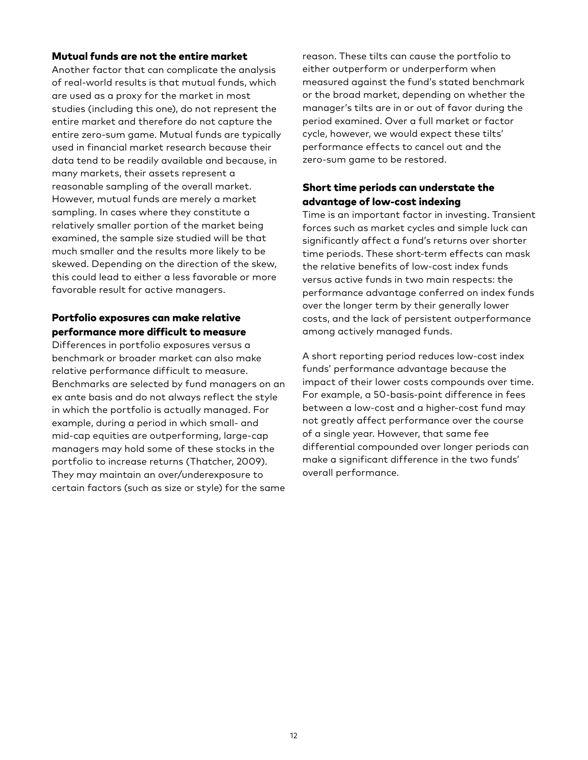#### Mutual funds are not the entire market

Another factor that can complicate the analysis of real-world results is that mutual funds, which are used as a proxy for the market in most studies (including this one), do not represent the entire market and therefore do not capture the entire zero-sum game. Mutual funds are typically used in financial market research because their data tend to be readily available and because, in many markets, their assets represent a reasonable sampling of the overall market. However, mutual funds are merely a market sampling. In cases where they constitute a relatively smaller portion of the market being examined, the sample size studied will be that much smaller and the results more likely to be skewed. Depending on the direction of the skew, this could lead to either a less favorable or more favorable result for active managers.

## Portfolio exposures can make relative performance more difficult to measure

Differences in portfolio exposures versus a benchmark or broader market can also make relative performance difficult to measure. Benchmarks are selected by fund managers on an ex ante basis and do not always reflect the style in which the portfolio is actually managed. For example, during a period in which small- and mid-cap equities are outperforming, large-cap managers may hold some of these stocks in the portfolio to increase returns (Thatcher, 2009). They may maintain an over/underexposure to certain factors (such as size or style) for the same reason. These tilts can cause the portfolio to either outperform or underperform when measured against the fund's stated benchmark or the broad market, depending on whether the manager's tilts are in or out of favor during the period examined. Over a full market or factor cycle, however, we would expect these tilts' performance effects to cancel out and the zero-sum game to be restored.

## Short time periods can understate the advantage of low-cost indexing

Time is an important factor in investing. Transient forces such as market cycles and simple luck can significantly affect a fund's returns over shorter time periods. These short-term effects can mask the relative benefits of low-cost index funds versus active funds in two main respects: the performance advantage conferred on index funds over the longer term by their generally lower costs, and the lack of persistent outperformance among actively managed funds.

A short reporting period reduces low-cost index funds' performance advantage because the impact of their lower costs compounds over time. For example, a 50-basis-point difference in fees between a low-cost and a higher-cost fund may not greatly affect performance over the course of a single year. However, that same fee differential compounded over longer periods can make a significant difference in the two funds' overall performance.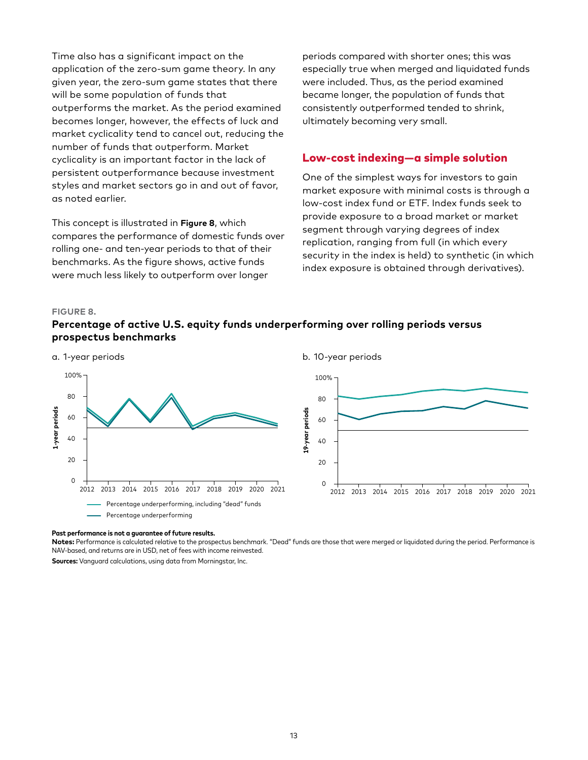Time also has a significant impact on the application of the zero-sum game theory. In any given year, the zero-sum game states that there will be some population of funds that outperforms the market. As the period examined becomes longer, however, the effects of luck and market cyclicality tend to cancel out, reducing the number of funds that outperform. Market cyclicality is an important factor in the lack of persistent outperformance because investment styles and market sectors go in and out of favor, as noted earlier.

This concept is illustrated in **Figure 8**, which compares the performance of domestic funds over rolling one- and ten-year periods to that of their benchmarks. As the figure shows, active funds were much less likely to outperform over longer

periods compared with shorter ones; this was especially true when merged and liquidated funds were included. Thus, as the period examined became longer, the population of funds that consistently outperformed tended to shrink, ultimately becoming very small.

## Low-cost indexing—a simple solution

One of the simplest ways for investors to gain market exposure with minimal costs is through a low-cost index fund or ETF. Index funds seek to provide exposure to a broad market or market segment through varying degrees of index replication, ranging from full (in which every security in the index is held) to synthetic (in which index exposure is obtained through derivatives).

#### **FIGURE 8.**

# **Percentage of active U.S. equity funds underperforming over rolling periods versus prospectus benchmarks**



## **Past performance is not a guarantee of future results.**

**Notes:** Performance is calculated relative to the prospectus benchmark. "Dead" funds are those that were merged or liquidated during the period. Performance is NAV-based, and returns are in USD, net of fees with income reinvested.

**Sources:** Vanguard calculations, using data from Morningstar, Inc.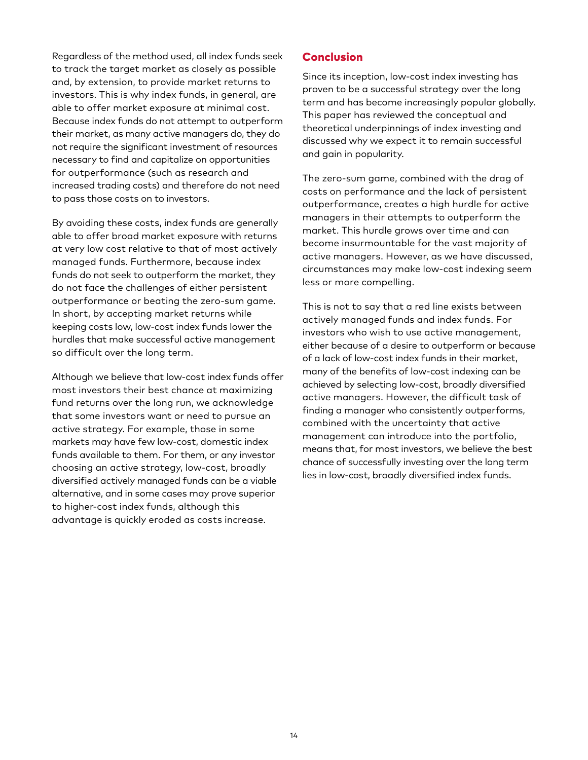Regardless of the method used, all index funds seek to track the target market as closely as possible and, by extension, to provide market returns to investors. This is why index funds, in general, are able to offer market exposure at minimal cost. Because index funds do not attempt to outperform their market, as many active managers do, they do not require the significant investment of resources necessary to find and capitalize on opportunities for outperformance (such as research and increased trading costs) and therefore do not need to pass those costs on to investors.

By avoiding these costs, index funds are generally able to offer broad market exposure with returns at very low cost relative to that of most actively managed funds. Furthermore, because index funds do not seek to outperform the market, they do not face the challenges of either persistent outperformance or beating the zero-sum game. In short, by accepting market returns while keeping costs low, low-cost index funds lower the hurdles that make successful active management so difficult over the long term.

Although we believe that low-cost index funds offer most investors their best chance at maximizing fund returns over the long run, we acknowledge that some investors want or need to pursue an active strategy. For example, those in some markets may have few low-cost, domestic index funds available to them. For them, or any investor choosing an active strategy, low-cost, broadly diversified actively managed funds can be a viable alternative, and in some cases may prove superior to higher-cost index funds, although this advantage is quickly eroded as costs increase.

## Conclusion

Since its inception, low-cost index investing has proven to be a successful strategy over the long term and has become increasingly popular globally. This paper has reviewed the conceptual and theoretical underpinnings of index investing and discussed why we expect it to remain successful and gain in popularity.

The zero-sum game, combined with the drag of costs on performance and the lack of persistent outperformance, creates a high hurdle for active managers in their attempts to outperform the market. This hurdle grows over time and can become insurmountable for the vast majority of active managers. However, as we have discussed, circumstances may make low-cost indexing seem less or more compelling.

This is not to say that a red line exists between actively managed funds and index funds. For investors who wish to use active management, either because of a desire to outperform or because of a lack of low-cost index funds in their market, many of the benefits of low-cost indexing can be achieved by selecting low-cost, broadly diversified active managers. However, the difficult task of finding a manager who consistently outperforms, combined with the uncertainty that active management can introduce into the portfolio, means that, for most investors, we believe the best chance of successfully investing over the long term lies in low-cost, broadly diversified index funds.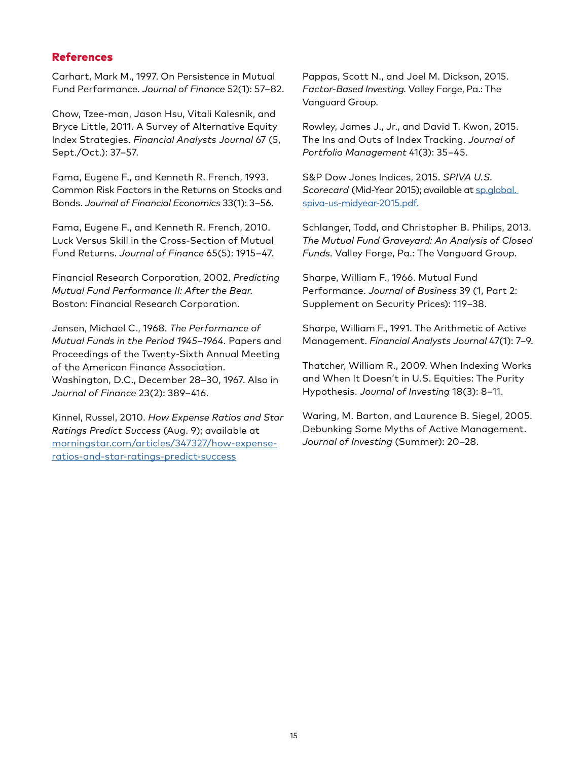## References

Carhart, Mark M., 1997. On Persistence in Mutual Fund Performance. *Journal of Finance* 52(1): 57–82.

Chow, Tzee-man, Jason Hsu, Vitali Kalesnik, and Bryce Little, 2011. A Survey of Alternative Equity Index Strategies. *Financial Analysts Journal* 67 (5, Sept./Oct.): 37–57.

Fama, Eugene F., and Kenneth R. French, 1993. Common Risk Factors in the Returns on Stocks and Bonds. *Journal of Financial Economics* 33(1): 3–56.

Fama, Eugene F., and Kenneth R. French, 2010. Luck Versus Skill in the Cross-Section of Mutual Fund Returns. *Journal of Finance* 65(5): 1915–47.

Financial Research Corporation, 2002. *Predicting Mutual Fund Performance II: After the Bear.* Boston: Financial Research Corporation.

Jensen, Michael C., 1968. *The Performance of Mutual Funds in the Period 1945–1964.* Papers and Proceedings of the Twenty-Sixth Annual Meeting of the American Finance Association. Washington, D.C., December 28–30, 1967. Also in *Journal of Finance* 23(2): 389–416.

Kinnel, Russel, 2010. *How Expense Ratios and Star Ratings Predict Success* (Aug. 9); available at [morningstar.com/articles/347327/how-expense](http://morningstar.com/articles/347327/how-expense-ratios-and-star-ratings-predict-success)[ratios-and-star-ratings-predict-success](http://morningstar.com/articles/347327/how-expense-ratios-and-star-ratings-predict-success)

Pappas, Scott N., and Joel M. Dickson, 2015. *Factor-Based Investing.* Valley Forge, Pa.: The Vanguard Group.

Rowley, James J., Jr., and David T. Kwon, 2015. The Ins and Outs of Index Tracking. *Journal of Portfolio Management* 41(3): 35–45.

S&P Dow Jones Indices, 2015. *SPIVA U.S. Scorecard* (Mid-Year 2015); available at [sp.global.](http://sp.global. spiva-us-midyear-2015.pdf.)  [spiva-us-midyear-2015.pdf.](http://sp.global. spiva-us-midyear-2015.pdf.)

Schlanger, Todd, and Christopher B. Philips, 2013. *The Mutual Fund Graveyard: An Analysis of Closed Funds.* Valley Forge, Pa.: The Vanguard Group.

Sharpe, William F., 1966. Mutual Fund Performance. *Journal of Business* 39 (1, Part 2: Supplement on Security Prices): 119–38.

Sharpe, William F., 1991. The Arithmetic of Active Management. *Financial Analysts Journal* 47(1): 7–9.

Thatcher, William R., 2009. When Indexing Works and When It Doesn't in U.S. Equities: The Purity Hypothesis. *Journal of Investing* 18(3): 8–11.

Waring, M. Barton, and Laurence B. Siegel, 2005. Debunking Some Myths of Active Management. *Journal of Investing* (Summer): 20–28.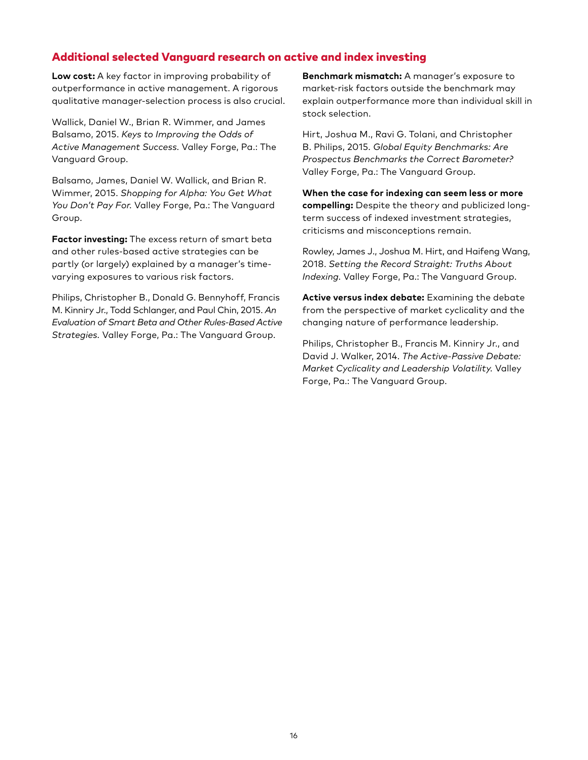# Additional selected Vanguard research on active and index investing

**Low cost:** A key factor in improving probability of outperformance in active management. A rigorous qualitative manager-selection process is also crucial.

Wallick, Daniel W., Brian R. Wimmer, and James Balsamo, 2015. *Keys to Improving the Odds of Active Management Success.* Valley Forge, Pa.: The Vanguard Group.

Balsamo, James, Daniel W. Wallick, and Brian R. Wimmer, 2015. *Shopping for Alpha: You Get What You Don't Pay For.* Valley Forge, Pa.: The Vanguard Group.

**Factor investing:** The excess return of smart beta and other rules-based active strategies can be partly (or largely) explained by a manager's timevarying exposures to various risk factors.

Philips, Christopher B., Donald G. Bennyhoff, Francis M. Kinniry Jr., Todd Schlanger, and Paul Chin, 2015. *An Evaluation of Smart Beta and Other Rules-Based Active Strategies.* Valley Forge, Pa.: The Vanguard Group.

**Benchmark mismatch:** A manager's exposure to market-risk factors outside the benchmark may explain outperformance more than individual skill in stock selection.

Hirt, Joshua M., Ravi G. Tolani, and Christopher B. Philips, 2015. *Global Equity Benchmarks: Are Prospectus Benchmarks the Correct Barometer?* Valley Forge, Pa.: The Vanguard Group.

**When the case for indexing can seem less or more compelling:** Despite the theory and publicized longterm success of indexed investment strategies, criticisms and misconceptions remain.

Rowley, James J., Joshua M. Hirt, and Haifeng Wang, 2018. *Setting the Record Straight: Truths About Indexing.* Valley Forge, Pa.: The Vanguard Group.

**Active versus index debate:** Examining the debate from the perspective of market cyclicality and the changing nature of performance leadership.

Philips, Christopher B., Francis M. Kinniry Jr., and David J. Walker, 2014. *The Active-Passive Debate: Market Cyclicality and Leadership Volatility.* Valley Forge, Pa.: The Vanguard Group.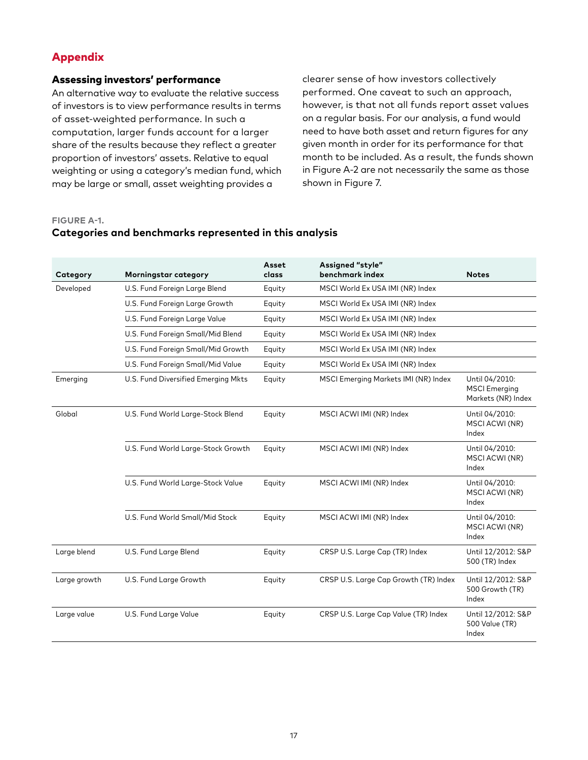## Appendix

## Assessing investors' performance

An alternative way to evaluate the relative success of investors is to view performance results in terms of asset-weighted performance. In such a computation, larger funds account for a larger share of the results because they reflect a greater proportion of investors' assets. Relative to equal weighting or using a category's median fund, which may be large or small, asset weighting provides a

clearer sense of how investors collectively performed. One caveat to such an approach, however, is that not all funds report asset values on a regular basis. For our analysis, a fund would need to have both asset and return figures for any given month in order for its performance for that month to be included. As a result, the funds shown in Figure A-2 are not necessarily the same as those shown in Figure 7.

#### **FIGURE A-1.**

## **Categories and benchmarks represented in this analysis**

| Category     | <b>Morningstar category</b>         | Asset<br>class | Assigned "style"<br>benchmark index   | <b>Notes</b>                                                 |
|--------------|-------------------------------------|----------------|---------------------------------------|--------------------------------------------------------------|
| Developed    | U.S. Fund Foreign Large Blend       | Equity         | MSCI World Ex USA IMI (NR) Index      |                                                              |
|              | U.S. Fund Foreign Large Growth      | Equity         | MSCI World Ex USA IMI (NR) Index      |                                                              |
|              | U.S. Fund Foreign Large Value       | Equity         | MSCI World Ex USA IMI (NR) Index      |                                                              |
|              | U.S. Fund Foreign Small/Mid Blend   | Equity         | MSCI World Ex USA IMI (NR) Index      |                                                              |
|              | U.S. Fund Foreign Small/Mid Growth  | Equity         | MSCI World Ex USA IMI (NR) Index      |                                                              |
|              | U.S. Fund Foreign Small/Mid Value   | Equity         | MSCI World Ex USA IMI (NR) Index      |                                                              |
| Emerging     | U.S. Fund Diversified Emerging Mkts | Equity         | MSCI Emerging Markets IMI (NR) Index  | Until 04/2010:<br><b>MSCI</b> Emerging<br>Markets (NR) Index |
| Global       | U.S. Fund World Large-Stock Blend   | Equity         | MSCI ACWI IMI (NR) Index              | Until 04/2010:<br>MSCI ACWI (NR)<br>Index                    |
|              | U.S. Fund World Large-Stock Growth  | Equity         | MSCI ACWI IMI (NR) Index              | Until 04/2010:<br>MSCI ACWI (NR)<br>Index                    |
|              | U.S. Fund World Large-Stock Value   | Equity         | MSCI ACWI IMI (NR) Index              | Until 04/2010:<br>MSCI ACWI (NR)<br>Index                    |
|              | U.S. Fund World Small/Mid Stock     | Equity         | MSCI ACWI IMI (NR) Index              | Until 04/2010:<br>MSCI ACWI (NR)<br>Index                    |
| Large blend  | U.S. Fund Large Blend               | Equity         | CRSP U.S. Large Cap (TR) Index        | Until 12/2012: S&P<br>500 (TR) Index                         |
| Large growth | U.S. Fund Large Growth              | Equity         | CRSP U.S. Large Cap Growth (TR) Index | Until 12/2012: S&P<br>500 Growth (TR)<br>Index               |
| Large value  | U.S. Fund Large Value               | Equity         | CRSP U.S. Large Cap Value (TR) Index  | Until 12/2012: S&P<br>500 Value (TR)<br>Index                |
|              |                                     |                |                                       |                                                              |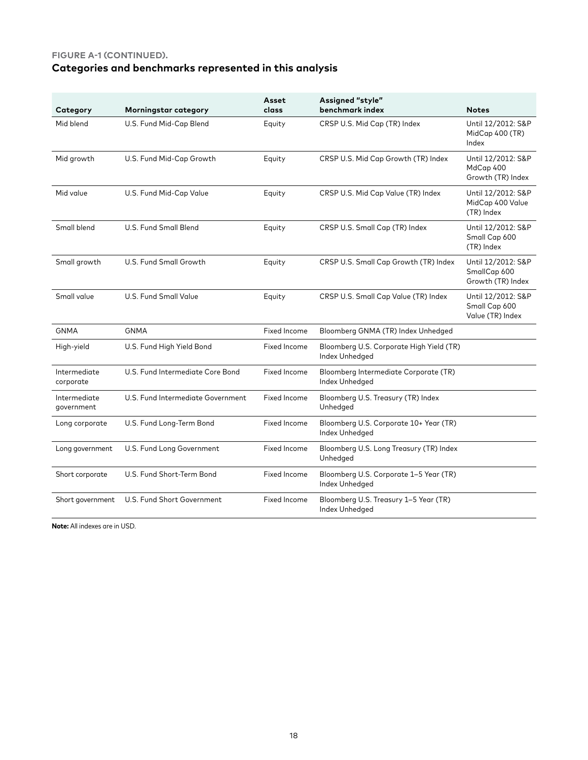## **FIGURE A-1 (CONTINUED).**

# **Categories and benchmarks represented in this analysis**

| Category                   | Morningstar category              | Asset<br>class      | Assigned "style"<br>benchmark index                        | <b>Notes</b>                                            |
|----------------------------|-----------------------------------|---------------------|------------------------------------------------------------|---------------------------------------------------------|
| Mid blend                  | U.S. Fund Mid-Cap Blend           | Equity              | CRSP U.S. Mid Cap (TR) Index                               | Until 12/2012: S&P<br>MidCap 400 (TR)<br>Index          |
| Mid growth                 | U.S. Fund Mid-Cap Growth          | Equity              | CRSP U.S. Mid Cap Growth (TR) Index                        | Until 12/2012: S&P<br>MdCap 400<br>Growth (TR) Index    |
| Mid value                  | U.S. Fund Mid-Cap Value           | Equity              | CRSP U.S. Mid Cap Value (TR) Index                         | Until 12/2012: S&P<br>MidCap 400 Value<br>(TR) Index    |
| Small blend                | U.S. Fund Small Blend             | Equity              | CRSP U.S. Small Cap (TR) Index                             | Until 12/2012: S&P<br>Small Cap 600<br>(TR) Index       |
| Small growth               | U.S. Fund Small Growth            | Equity              | CRSP U.S. Small Cap Growth (TR) Index                      | Until 12/2012: S&P<br>SmallCap 600<br>Growth (TR) Index |
| Small value                | <b>U.S. Fund Small Value</b>      | Equity              | CRSP U.S. Small Cap Value (TR) Index                       | Until 12/2012: S&P<br>Small Cap 600<br>Value (TR) Index |
| <b>GNMA</b>                | <b>GNMA</b>                       | Fixed Income        | Bloomberg GNMA (TR) Index Unhedged                         |                                                         |
| High-yield                 | U.S. Fund High Yield Bond         | Fixed Income        | Bloomberg U.S. Corporate High Yield (TR)<br>Index Unhedged |                                                         |
| Intermediate<br>corporate  | U.S. Fund Intermediate Core Bond  | <b>Fixed Income</b> | Bloomberg Intermediate Corporate (TR)<br>Index Unhedged    |                                                         |
| Intermediate<br>government | U.S. Fund Intermediate Government | Fixed Income        | Bloomberg U.S. Treasury (TR) Index<br>Unhedged             |                                                         |
| Long corporate             | U.S. Fund Long-Term Bond          | <b>Fixed Income</b> | Bloomberg U.S. Corporate 10+ Year (TR)<br>Index Unhedged   |                                                         |
| Long government            | U.S. Fund Long Government         | Fixed Income        | Bloomberg U.S. Long Treasury (TR) Index<br>Unhedged        |                                                         |
| Short corporate            | U.S. Fund Short-Term Bond         | <b>Fixed Income</b> | Bloomberg U.S. Corporate 1-5 Year (TR)<br>Index Unhedged   |                                                         |
| Short government           | U.S. Fund Short Government        | Fixed Income        | Bloomberg U.S. Treasury 1-5 Year (TR)<br>Index Unhedged    |                                                         |

**Note:** All indexes are in USD.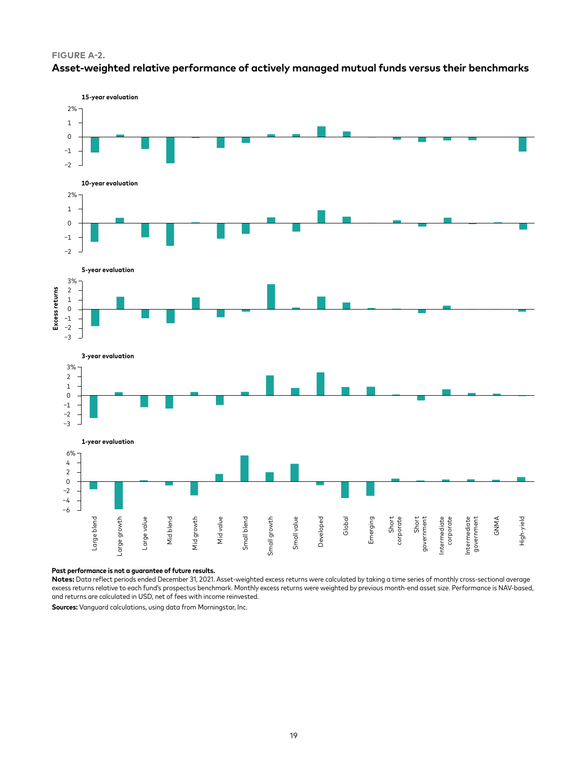





#### **Past performance is not a guarantee of future results.**

**Notes:** Data reflect periods ended December 31, 2021. Asset-weighted excess returns were calculated by taking a time series of monthly cross-sectional average excess returns relative to each fund's prospectus benchmark. Monthly excess returns were weighted by previous month-end asset size. Performance is NAV-based, and returns are calculated in USD, net of fees with income reinvested.

**Sources:** Vanguard calculations, using data from Morningstar, Inc.